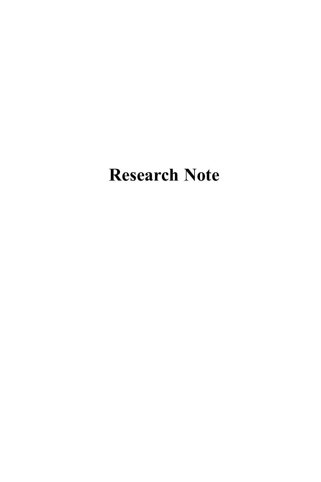# **Research Note**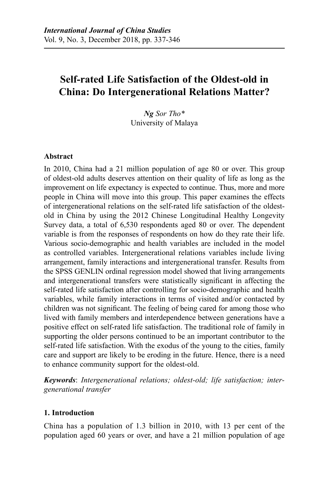# **Self-rated Life Satisfaction of the Oldest-old in China: Do Intergenerational Relations Matter?**

*Ng Sor Tho\**  University of Malaya

# **Abstract**

In 2010, China had a 21 million population of age 80 or over. This group of oldest-old adults deserves attention on their quality of life as long as the improvement on life expectancy is expected to continue. Thus, more and more people in China will move into this group. This paper examines the effects of intergenerational relations on the self-rated life satisfaction of the oldestold in China by using the 2012 Chinese Longitudinal Healthy Longevity Survey data, a total of 6,530 respondents aged 80 or over. The dependent variable is from the responses of respondents on how do they rate their life. Various socio-demographic and health variables are included in the model as controlled variables. Intergenerational relations variables include living arrangement, family interactions and intergenerational transfer. Results from the SPSS GENLIN ordinal regression model showed that living arrangements and intergenerational transfers were statistically significant in affecting the self-rated life satisfaction after controlling for socio-demographic and health variables, while family interactions in terms of visited and/or contacted by children was not significant. The feeling of being cared for among those who lived with family members and interdependence between generations have a positive effect on self-rated life satisfaction. The traditional role of family in supporting the older persons continued to be an important contributor to the self-rated life satisfaction. With the exodus of the young to the cities, family care and support are likely to be eroding in the future. Hence, there is a need to enhance community support for the oldest-old.

*Keywords*: *Intergenerational relations; oldest-old; life satisfaction; intergenerational transfer*

## **1. Introduction**

China has a population of 1.3 billion in 2010, with 13 per cent of the population aged 60 years or over, and have a 21 million population of age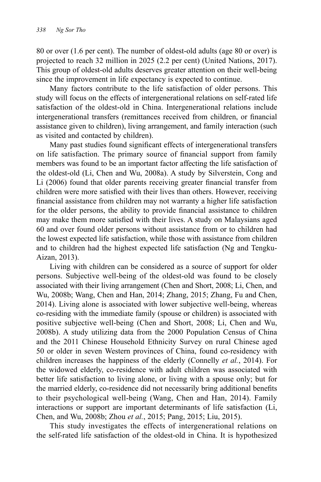80 or over (1.6 per cent). The number of oldest-old adults (age 80 or over) is projected to reach 32 million in 2025 (2.2 per cent) (United Nations, 2017). This group of oldest-old adults deserves greater attention on their well-being since the improvement in life expectancy is expected to continue.

Many factors contribute to the life satisfaction of older persons. This study will focus on the effects of intergenerational relations on self-rated life satisfaction of the oldest-old in China. Intergenerational relations include intergenerational transfers (remittances received from children, or financial assistance given to children), living arrangement, and family interaction (such as visited and contacted by children).

Many past studies found significant effects of intergenerational transfers on life satisfaction. The primary source of financial support from family members was found to be an important factor affecting the life satisfaction of the oldest-old (Li, Chen and Wu, 2008a). A study by Silverstein, Cong and Li (2006) found that older parents receiving greater financial transfer from children were more satisfied with their lives than others. However, receiving financial assistance from children may not warranty a higher life satisfaction for the older persons, the ability to provide financial assistance to children may make them more satisfied with their lives. A study on Malaysians aged 60 and over found older persons without assistance from or to children had the lowest expected life satisfaction, while those with assistance from children and to children had the highest expected life satisfaction (Ng and Tengku-Aizan, 2013).

Living with children can be considered as a source of support for older persons. Subjective well-being of the oldest-old was found to be closely associated with their living arrangement (Chen and Short, 2008; Li, Chen, and Wu, 2008b; Wang, Chen and Han, 2014; Zhang, 2015; Zhang, Fu and Chen, 2014). Living alone is associated with lower subjective well-being, whereas co-residing with the immediate family (spouse or children) is associated with positive subjective well-being (Chen and Short, 2008; Li, Chen and Wu, 2008b). A study utilizing data from the 2000 Population Census of China and the 2011 Chinese Household Ethnicity Survey on rural Chinese aged 50 or older in seven Western provinces of China, found co-residency with children increases the happiness of the elderly (Connelly *et al.*, 2014). For the widowed elderly, co-residence with adult children was associated with better life satisfaction to living alone, or living with a spouse only; but for the married elderly, co-residence did not necessarily bring additional benefits to their psychological well-being (Wang, Chen and Han, 2014). Family interactions or support are important determinants of life satisfaction (Li, Chen, and Wu, 2008b; Zhou *et al.*, 2015; Pang, 2015; Liu, 2015).

This study investigates the effects of intergenerational relations on the self-rated life satisfaction of the oldest-old in China. It is hypothesized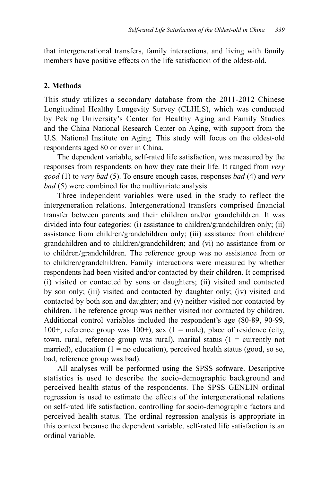that intergenerational transfers, family interactions, and living with family members have positive effects on the life satisfaction of the oldest-old.

## **2. Methods**

This study utilizes a secondary database from the 2011-2012 Chinese Longitudinal Healthy Longevity Survey (CLHLS), which was conducted by Peking University's Center for Healthy Aging and Family Studies and the China National Research Center on Aging, with support from the U.S. National Institute on Aging. This study will focus on the oldest-old respondents aged 80 or over in China.

The dependent variable, self-rated life satisfaction, was measured by the responses from respondents on how they rate their life. It ranged from *very good* (1) to *very bad* (5). To ensure enough cases, responses *bad* (4) and *very bad* (5) were combined for the multivariate analysis.

Three independent variables were used in the study to reflect the intergeneration relations. Intergenerational transfers comprised financial transfer between parents and their children and/or grandchildren. It was divided into four categories: (i) assistance to children/grandchildren only; (ii) assistance from children/grandchildren only; (iii) assistance from children/ grandchildren and to children/grandchildren; and (vi) no assistance from or to children/grandchildren. The reference group was no assistance from or to children/grandchildren. Family interactions were measured by whether respondents had been visited and/or contacted by their children. It comprised (i) visited or contacted by sons or daughters; (ii) visited and contacted by son only; (iii) visited and contacted by daughter only; (iv) visited and contacted by both son and daughter; and (v) neither visited nor contacted by children. The reference group was neither visited nor contacted by children. Additional control variables included the respondent's age (80-89, 90-99, 100+, reference group was 100+), sex  $(1 = male)$ , place of residence (city, town, rural, reference group was rural), marital status  $(1 =$  currently not married), education ( $1 = no$  education), perceived health status (good, so so, bad, reference group was bad).

All analyses will be performed using the SPSS software. Descriptive statistics is used to describe the socio-demographic background and perceived health status of the respondents. The SPSS GENLIN ordinal regression is used to estimate the effects of the intergenerational relations on self-rated life satisfaction, controlling for socio-demographic factors and perceived health status. The ordinal regression analysis is appropriate in this context because the dependent variable, self-rated life satisfaction is an ordinal variable.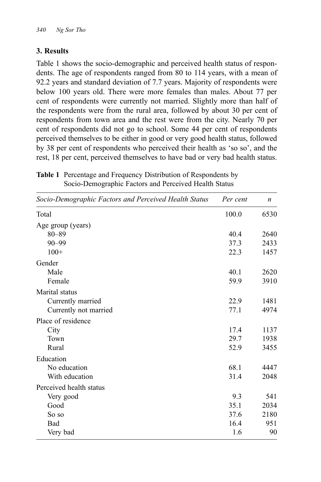# **3. Results**

Table 1 shows the socio-demographic and perceived health status of respondents. The age of respondents ranged from 80 to 114 years, with a mean of 92.2 years and standard deviation of 7.7 years. Majority of respondents were below 100 years old. There were more females than males. About 77 per cent of respondents were currently not married. Slightly more than half of the respondents were from the rural area, followed by about 30 per cent of respondents from town area and the rest were from the city. Nearly 70 per cent of respondents did not go to school. Some 44 per cent of respondents perceived themselves to be either in good or very good health status, followed by 38 per cent of respondents who perceived their health as 'so so', and the rest, 18 per cent, perceived themselves to have bad or very bad health status.

| <b>Table 1</b> Percentage and Frequency Distribution of Respondents by |  |  |
|------------------------------------------------------------------------|--|--|
| Socio-Demographic Factors and Perceived Health Status                  |  |  |

| Socio-Demographic Factors and Perceived Health Status | Per cent | $\boldsymbol{n}$ |
|-------------------------------------------------------|----------|------------------|
| Total                                                 | 100.0    | 6530             |
| Age group (years)                                     |          |                  |
| $80 - 89$                                             | 40.4     | 2640             |
| $90 - 99$                                             | 37.3     | 2433             |
| $100+$                                                | 22.3     | 1457             |
| Gender                                                |          |                  |
| Male                                                  | 40.1     | 2620             |
| Female                                                | 59.9     | 3910             |
| Marital status                                        |          |                  |
| Currently married                                     | 22.9     | 1481             |
| Currently not married                                 | 77.1     | 4974             |
| Place of residence                                    |          |                  |
| City                                                  | 17.4     | 1137             |
| Town                                                  | 29.7     | 1938             |
| Rural                                                 | 52.9     | 3455             |
| Education                                             |          |                  |
| No education                                          | 68.1     | 4447             |
| With education                                        | 31.4     | 2048             |
| Perceived health status                               |          |                  |
| Very good                                             | 9.3      | 541              |
| Good                                                  | 35.1     | 2034             |
| So so                                                 | 37.6     | 2180             |
| Bad                                                   | 16.4     | 951              |
| Very bad                                              | 1.6      | 90               |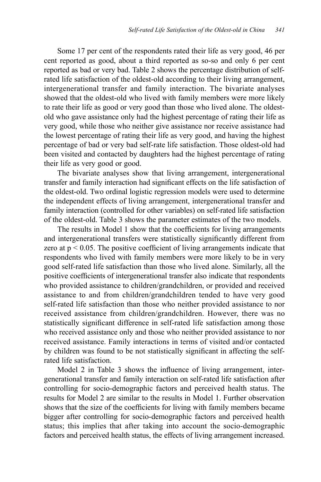Some 17 per cent of the respondents rated their life as very good, 46 per cent reported as good, about a third reported as so-so and only 6 per cent reported as bad or very bad. Table 2 shows the percentage distribution of selfrated life satisfaction of the oldest-old according to their living arrangement, intergenerational transfer and family interaction. The bivariate analyses showed that the oldest-old who lived with family members were more likely to rate their life as good or very good than those who lived alone. The oldestold who gave assistance only had the highest percentage of rating their life as very good, while those who neither give assistance nor receive assistance had the lowest percentage of rating their life as very good, and having the highest percentage of bad or very bad self-rate life satisfaction. Those oldest-old had been visited and contacted by daughters had the highest percentage of rating their life as very good or good.

The bivariate analyses show that living arrangement, intergenerational transfer and family interaction had significant effects on the life satisfaction of the oldest-old. Two ordinal logistic regression models were used to determine the independent effects of living arrangement, intergenerational transfer and family interaction (controlled for other variables) on self-rated life satisfaction of the oldest-old. Table 3 shows the parameter estimates of the two models.

The results in Model 1 show that the coefficients for living arrangements and intergenerational transfers were statistically significantly different from zero at  $p < 0.05$ . The positive coefficient of living arrangements indicate that respondents who lived with family members were more likely to be in very good self-rated life satisfaction than those who lived alone. Similarly, all the positive coefficients of intergenerational transfer also indicate that respondents who provided assistance to children/grandchildren, or provided and received assistance to and from children/grandchildren tended to have very good self-rated life satisfaction than those who neither provided assistance to nor received assistance from children/grandchildren. However, there was no statistically significant difference in self-rated life satisfaction among those who received assistance only and those who neither provided assistance to nor received assistance. Family interactions in terms of visited and/or contacted by children was found to be not statistically significant in affecting the selfrated life satisfaction.

Model 2 in Table 3 shows the influence of living arrangement, intergenerational transfer and family interaction on self-rated life satisfaction after controlling for socio-demographic factors and perceived health status. The results for Model 2 are similar to the results in Model 1. Further observation shows that the size of the coefficients for living with family members became bigger after controlling for socio-demographic factors and perceived health status; this implies that after taking into account the socio-demographic factors and perceived health status, the effects of living arrangement increased.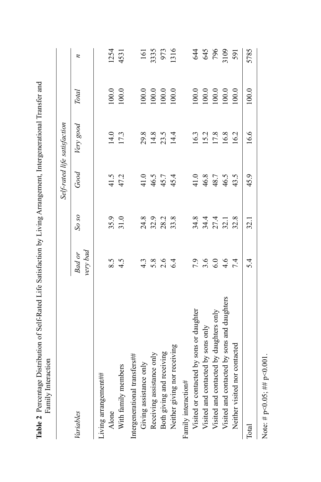| Family Interaction                          |                         | 0              | .<br>D                     |                              |                                                                             |                     |
|---------------------------------------------|-------------------------|----------------|----------------------------|------------------------------|-----------------------------------------------------------------------------|---------------------|
|                                             |                         |                |                            | Self-rated life satisfaction |                                                                             |                     |
| Variables                                   | very bad<br>Bad or      | So so          | Good                       | Very good                    | Total                                                                       | z                   |
| Living arrangement##                        |                         |                |                            |                              |                                                                             |                     |
| Alone                                       | 8.5                     | 35.9           | 41.5<br>47.2               |                              | $100.0$                                                                     | 1254                |
| With family members                         | 4.5                     | 31.0           |                            | 14.0<br>17.3                 | 100.0                                                                       | 4531                |
| Intergenerational transfers##               |                         |                |                            |                              |                                                                             |                     |
| Giving assistance only                      | $4.\overline{3}$        |                |                            |                              | 100.0                                                                       | 161                 |
| Receiving assistance only                   |                         | 24.8<br>32.9   |                            |                              |                                                                             |                     |
| Both giving and receiving                   | $5.\overline{8}$<br>2.6 | 28.2<br>33.8   | $41.0$<br>$46.5$<br>$45.4$ | $29.8$<br>14.8<br>14.4       | $100.0$<br>$100.0$                                                          | 3335<br>973<br>1316 |
| Neither giving nor receiving                | 6.4                     |                |                            |                              | 100.0                                                                       |                     |
| Family interaction#                         |                         |                |                            |                              |                                                                             |                     |
| Visited or contacted by sons or daughter    |                         |                |                            |                              |                                                                             |                     |
| Visited and contacted by sons only          | 7.9<br>3.60<br>6.0      |                |                            |                              |                                                                             |                     |
| Visited and contacted by daughters only     |                         |                | $41.0$<br>$46.8$<br>$48.7$ | $\frac{16.3}{15.2}$          |                                                                             | <b>44561818</b>     |
| Visited and contacted by sons and daughters | 4.6                     | 34441<br>34521 | 46.5                       | 16.8                         | $\begin{array}{c} 100.0 \\ 100.0 \\ 100.0 \\ 100.0 \\ 100.0 \\ \end{array}$ |                     |
| Neither visited nor contacted               | 7.4                     | 32.8           | 43.5                       | 16.2                         | 100.0                                                                       | 591                 |
| Total                                       | 5.4                     | 32.1           | 45.9                       | 16.6                         | $100.0$                                                                     | 5785                |

Table 2 Percentage Distribution of Self-Rated Life Satisfaction by Living Arrangement, Intergenerational Transfer and **Table 2** Percentage Distribution of Self-Rated Life Satisfaction by Living Arrangement, Intergenerational Transfer and

Note: #  $p<0.05$ ; ##  $p<0.001$ . Note: #  $p<0.05$ ; ##  $p<0.001$ .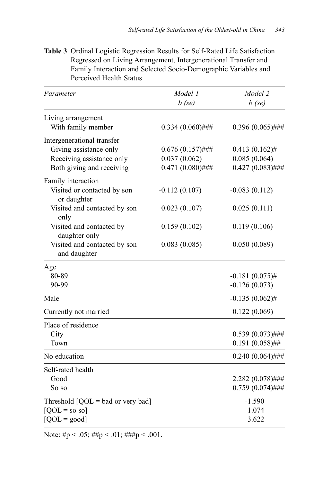| Parameter                                    | Model 1<br>$b$ (se) | Model 2<br>$b$ (se) |
|----------------------------------------------|---------------------|---------------------|
|                                              |                     |                     |
| Living arrangement<br>With family member     | $0.334(0.060)$ ###  | $0.396(0.065)$ ###  |
| Intergenerational transfer                   |                     |                     |
| Giving assistance only                       | $0.676(0.157)$ ###  | $0.413(0.162)$ #    |
| Receiving assistance only                    | 0.037(0.062)        | 0.085(0.064)        |
| Both giving and receiving                    | $0.471(0.080)$ ###  | $0.427(0.083)$ ###  |
| Family interaction                           |                     |                     |
| Visited or contacted by son<br>or daughter   | $-0.112(0.107)$     | $-0.083(0.112)$     |
| Visited and contacted by son<br>only         | 0.023(0.107)        | 0.025(0.111)        |
| Visited and contacted by<br>daughter only    | 0.159(0.102)        | 0.119(0.106)        |
| Visited and contacted by son<br>and daughter | 0.083(0.085)        | 0.050(0.089)        |
| Age                                          |                     |                     |
| 80-89                                        |                     | $-0.181(0.075)$ #   |
| 90-99                                        |                     | $-0.126(0.073)$     |
| Male                                         |                     | $-0.135(0.062)$ #   |
| Currently not married                        |                     | 0.122(0.069)        |
| Place of residence                           |                     |                     |
| City                                         |                     | $0.539(0.073)$ ###  |
| Town                                         |                     | $0.191(0.058)$ ##   |
| No education                                 |                     | $-0.240(0.064)$ ### |
| Self-rated health                            |                     |                     |
| Good                                         |                     | 2.282 (0.078)###    |
| So so                                        |                     | $0.759(0.074)$ ###  |
| Threshold $[QOL = bad$ or very bad]          |                     | $-1.590$            |
| $[QOL = so so]$                              |                     | 1.074               |
| $[QOL = good]$                               |                     | 3.622               |

**Table 3** Ordinal Logistic Regression Results for Self-Rated Life Satisfaction Regressed on Living Arrangement, Intergenerational Transfer and Family Interaction and Selected Socio-Demographic Variables and Perceived Health Status

Note: # $p < .05$ ; ## $p < .01$ ; ### $p < .001$ .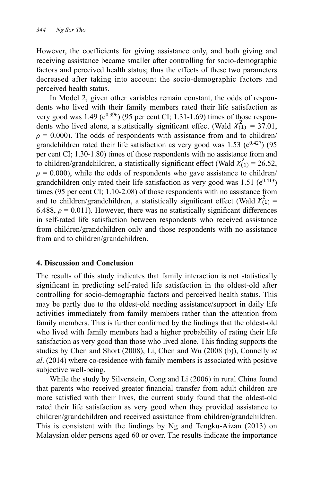However, the coefficients for giving assistance only, and both giving and receiving assistance became smaller after controlling for socio-demographic factors and perceived health status; thus the effects of these two parameters decreased after taking into account the socio-demographic factors and perceived health status.

In Model 2, given other variables remain constant, the odds of respondents who lived with their family members rated their life satisfaction as very good was 1.49 ( $e^{0.396}$ ) (95 per cent CI; 1.31-1.69) times of those respondents who lived alone, a statistically significant effect (Wald  $\chi^2_{(1)} = 37.01$ ,  $\rho = 0.000$ ). The odds of respondents with assistance from and to children/ grandchildren rated their life satisfaction as very good was 1.53 ( $e^{0.427}$ ) (95 per cent CI; 1.30-1.80) times of those respondents with no assistance from and to children/grandchildren, a statistically significant effect (Wald  $\chi^2_{(1)} = 26.52$ ,  $\rho = 0.000$ , while the odds of respondents who gave assistance to children/ grandchildren only rated their life satisfaction as very good was 1.51 ( $e^{0.413}$ ) times (95 per cent CI; 1.10-2.08) of those respondents with no assistance from and to children/grandchildren, a statistically significant effect (Wald  $\chi^2_{(1)}$  = 6.488,  $\rho = 0.011$ ). However, there was no statistically significant differences in self-rated life satisfaction between respondents who received assistance from children/grandchildren only and those respondents with no assistance from and to children/grandchildren.

#### **4. Discussion and Conclusion**

The results of this study indicates that family interaction is not statistically significant in predicting self-rated life satisfaction in the oldest-old after controlling for socio-demographic factors and perceived health status. This may be partly due to the oldest-old needing assistance/support in daily life activities immediately from family members rather than the attention from family members. This is further confirmed by the findings that the oldest-old who lived with family members had a higher probability of rating their life satisfaction as very good than those who lived alone. This finding supports the studies by Chen and Short (2008), Li, Chen and Wu (2008 (b)), Connelly *et al*. (2014) where co-residence with family members is associated with positive subjective well-being.

While the study by Silverstein, Cong and Li (2006) in rural China found that parents who received greater financial transfer from adult children are more satisfied with their lives, the current study found that the oldest-old rated their life satisfaction as very good when they provided assistance to children/grandchildren and received assistance from children/grandchildren. This is consistent with the findings by Ng and Tengku-Aizan (2013) on Malaysian older persons aged 60 or over. The results indicate the importance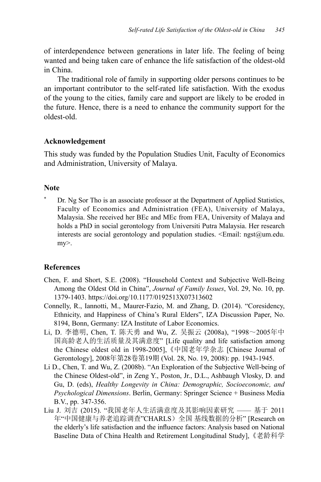of interdependence between generations in later life. The feeling of being wanted and being taken care of enhance the life satisfaction of the oldest-old in China.

The traditional role of family in supporting older persons continues to be an important contributor to the self-rated life satisfaction. With the exodus of the young to the cities, family care and support are likely to be eroded in the future. Hence, there is a need to enhance the community support for the oldest-old.

# **Acknowledgement**

This study was funded by the Population Studies Unit, Faculty of Economics and Administration, University of Malaya.

# **Note**

\* Dr. Ng Sor Tho is an associate professor at the Department of Applied Statistics, Faculty of Economics and Administration (FEA), University of Malaya, Malaysia. She received her BEc and MEc from FEA, University of Malaya and holds a PhD in social gerontology from Universiti Putra Malaysia. Her research interests are social gerontology and population studies.  $\le$ Email: ngst $@um$ edu. my>.

# **References**

- Chen, F. and Short, S.E. (2008). "Household Context and Subjective Well-Being Among the Oldest Old in China", *Journal of Family Issues*, Vol. 29, No. 10, pp. 1379-1403. https://doi.org/10.1177/0192513X07313602
- Connelly, R., Iannotti, M., Maurer-Fazio, M. and Zhang, D. (2014). "Coresidency, Ethnicity, and Happiness of China's Rural Elders", IZA Discussion Paper, No. 8194, Bonn, Germany: IZA Institute of Labor Economics.
- Li, D. 李德明, Chen, T. 陈天勇 and Wu, Z. 吴振云 (2008a), "1998~2005年中 国高龄老人的生活质量及其满意度" [Life quality and life satisfaction among the Chinese oldest old in 1998-2005],《中国老年学杂志 [Chinese Journal of Gerontology], 2008年第28卷第19期 (Vol. 28, No. 19, 2008): pp. 1943-1945.
- Li D., Chen, T. and Wu, Z. (2008b). "An Exploration of the Subjective Well-being of the Chinese Oldest-old", in Zeng Y., Poston, Jr., D.L., Ashbaugh Vlosky, D. and Gu, D. (eds), *Healthy Longevity in China: Demographic, Socioeconomic, and Psychological Dimensions*. Berlin, Germany: Springer Science + Business Media B.V., pp. 347-356.
- Liu J. 刘吉 (2015). "我国老年人生活满意度及其影响因素研究 —— 基于 2011 年"中国健康与养老追踪调查"CHARLS)全国 基线数据的分析" [Research on the elderly's life satisfaction and the influence factors: Analysis based on National Baseline Data of China Health and Retirement Longitudinal Study],《老龄科学